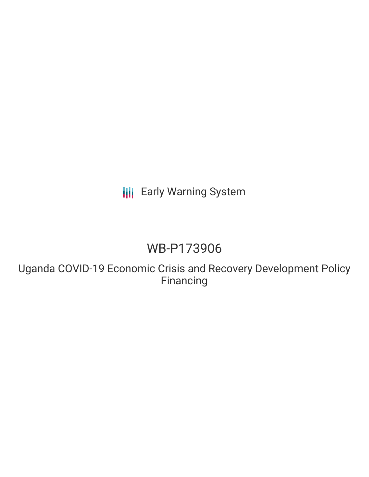## **III** Early Warning System

# WB-P173906

Uganda COVID-19 Economic Crisis and Recovery Development Policy Financing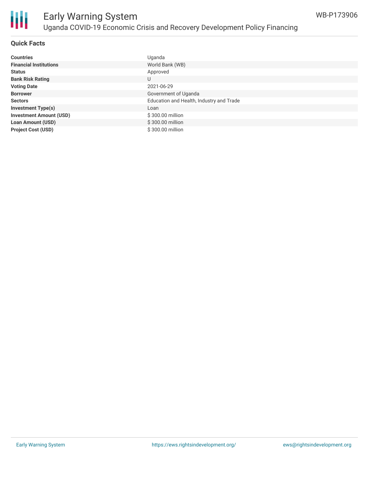

### Early Warning System Uganda COVID-19 Economic Crisis and Recovery Development Policy Financing

#### **Quick Facts**

| <b>Countries</b>               | Uganda                                   |
|--------------------------------|------------------------------------------|
| <b>Financial Institutions</b>  | World Bank (WB)                          |
| <b>Status</b>                  | Approved                                 |
| <b>Bank Risk Rating</b>        | U                                        |
| <b>Voting Date</b>             | 2021-06-29                               |
| <b>Borrower</b>                | Government of Uganda                     |
| <b>Sectors</b>                 | Education and Health, Industry and Trade |
| <b>Investment Type(s)</b>      | Loan                                     |
| <b>Investment Amount (USD)</b> | \$300.00 million                         |
| <b>Loan Amount (USD)</b>       | \$300.00 million                         |
| <b>Project Cost (USD)</b>      | \$300.00 million                         |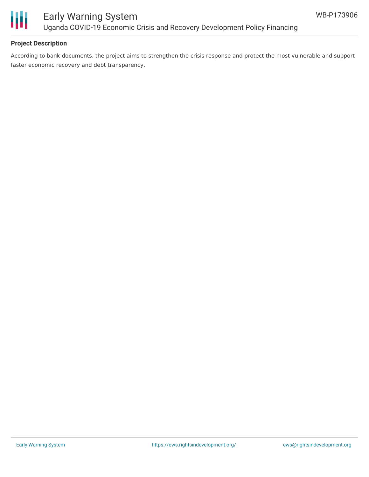

#### **Project Description**

According to bank documents, the project aims to strengthen the crisis response and protect the most vulnerable and support faster economic recovery and debt transparency.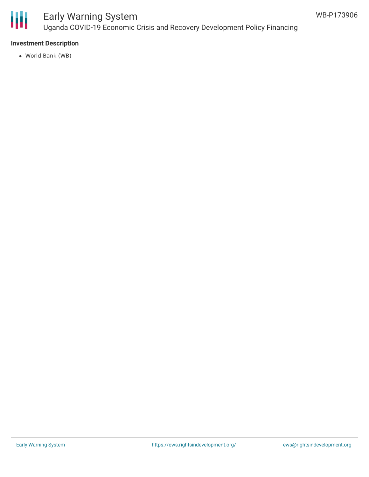

## Early Warning System Uganda COVID-19 Economic Crisis and Recovery Development Policy Financing

#### **Investment Description**

World Bank (WB)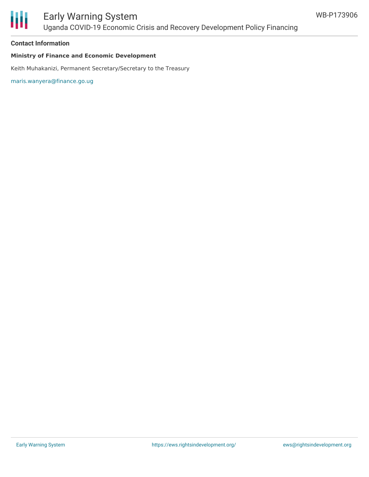

### Early Warning System Uganda COVID-19 Economic Crisis and Recovery Development Policy Financing

#### **Contact Information**

#### **Ministry of Finance and Economic Development**

Keith Muhakanizi, Permanent Secretary/Secretary to the Treasury

[maris.wanyera@finance.go.ug](mailto:maris.wanyera@finance.go.ug)